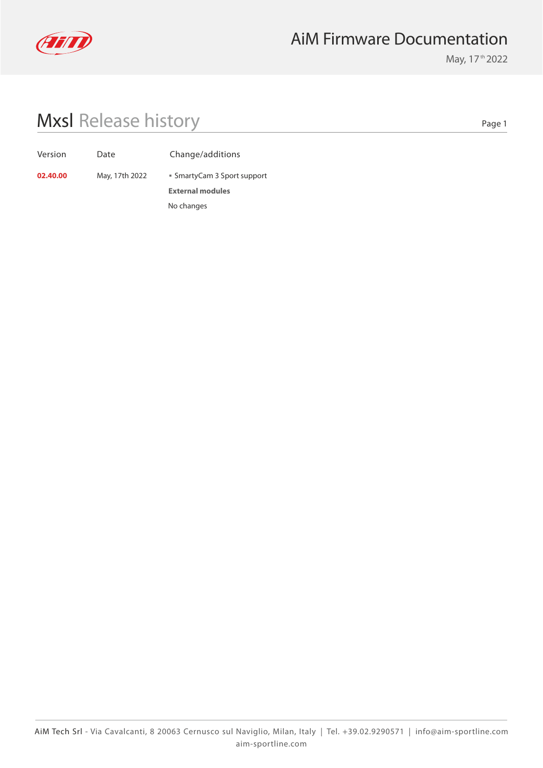

## AiM Firmware Documentation

May, 17<sup>th</sup> 2022

## Mxsl Release history

Page 1

| Version | Date |
|---------|------|
|---------|------|

Change/additions

**External modules 02.40.00** May, 17th 2022 **SmartyCam 3 Sport support** No changes